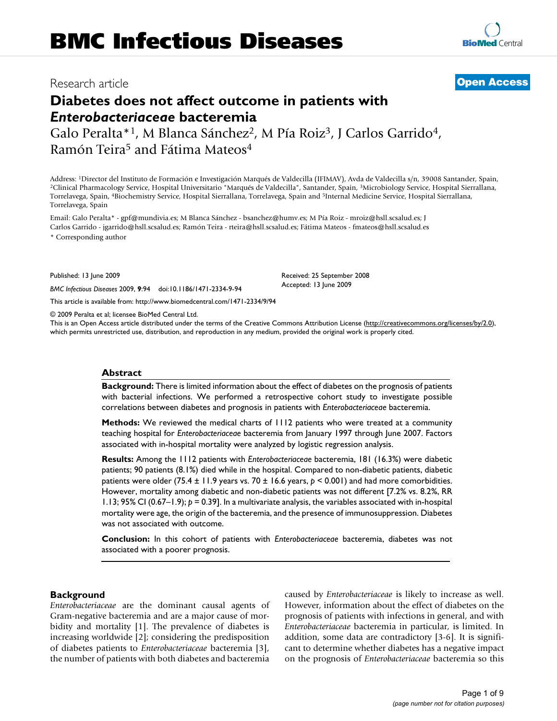## Research article **[Open Access](http://www.biomedcentral.com/info/about/charter/)**

# **Diabetes does not affect outcome in patients with**  *Enterobacteriaceae* **bacteremia**

Galo Peralta\*<sup>1</sup>, M Blanca Sánchez<sup>2</sup>, M Pía Roiz<sup>3</sup>, J Carlos Garrido<sup>4</sup>, Ramón Teira<sup>5</sup> and Fátima Mateos<sup>4</sup>

Address: <sup>1</sup>Director del Instituto de Formación e Investigación Marqués de Valdecilla (IFIMAV), Avda de Valdecilla s/n, 39008 Santander, Spain, <sup>2</sup>Clinical Pharmacology Service, Hospital Universitario "Marqués de Valdecill Torrelavega, Spain, 4Biochemistry Service, Hospital Sierrallana, Torrelavega, Spain and 5Internal Medicine Service, Hospital Sierrallana, Torrelavega, Spain

Email: Galo Peralta\* - gpf@mundivia.es; M Blanca Sánchez - bsanchez@humv.es; M Pía Roiz - mroiz@hsll.scsalud.es; J Carlos Garrido - jgarrido@hsll.scsalud.es; Ramón Teira - rteira@hsll.scsalud.es; Fátima Mateos - fmateos@hsll.scsalud.es

\* Corresponding author

Published: 13 June 2009

*BMC Infectious Diseases* 2009, **9**:94 doi:10.1186/1471-2334-9-94

[This article is available from: http://www.biomedcentral.com/1471-2334/9/94](http://www.biomedcentral.com/1471-2334/9/94)

© 2009 Peralta et al; licensee BioMed Central Ltd.

This is an Open Access article distributed under the terms of the Creative Commons Attribution License [\(http://creativecommons.org/licenses/by/2.0\)](http://creativecommons.org/licenses/by/2.0), which permits unrestricted use, distribution, and reproduction in any medium, provided the original work is properly cited.

## **Abstract**

**Background:** There is limited information about the effect of diabetes on the prognosis of patients with bacterial infections. We performed a retrospective cohort study to investigate possible correlations between diabetes and prognosis in patients with *Enterobacteriaceae* bacteremia.

**Methods:** We reviewed the medical charts of 1112 patients who were treated at a community teaching hospital for *Enterobacteriaceae* bacteremia from January 1997 through June 2007. Factors associated with in-hospital mortality were analyzed by logistic regression analysis.

**Results:** Among the 1112 patients with *Enterobacteriaceae* bacteremia, 181 (16.3%) were diabetic patients; 90 patients (8.1%) died while in the hospital. Compared to non-diabetic patients, diabetic patients were older (75.4 ± 11.9 years vs. 70 ± 16.6 years, *p* < 0.001) and had more comorbidities. However, mortality among diabetic and non-diabetic patients was not different [7.2% vs. 8.2%, RR 1.13; 95% CI (0.67–1.9); *p* = 0.39]. In a multivariate analysis, the variables associated with in-hospital mortality were age, the origin of the bacteremia, and the presence of immunosuppression. Diabetes was not associated with outcome.

**Conclusion:** In this cohort of patients with *Enterobacteriaceae* bacteremia, diabetes was not associated with a poorer prognosis.

## **Background**

*Enterobacteriaceae* are the dominant causal agents of Gram-negative bacteremia and are a major cause of morbidity and mortality [1]. The prevalence of diabetes is increasing worldwide [2]; considering the predisposition of diabetes patients to *Enterobacteriaceae* bacteremia [3], the number of patients with both diabetes and bacteremia caused by *Enterobacteriaceae* is likely to increase as well. However, information about the effect of diabetes on the prognosis of patients with infections in general, and with *Enterobacteriaceae* bacteremia in particular, is limited. In addition, some data are contradictory [3-6]. It is significant to determine whether diabetes has a negative impact on the prognosis of *Enterobacteriaceae* bacteremia so this

Received: 25 September 2008

Accepted: 13 June 2009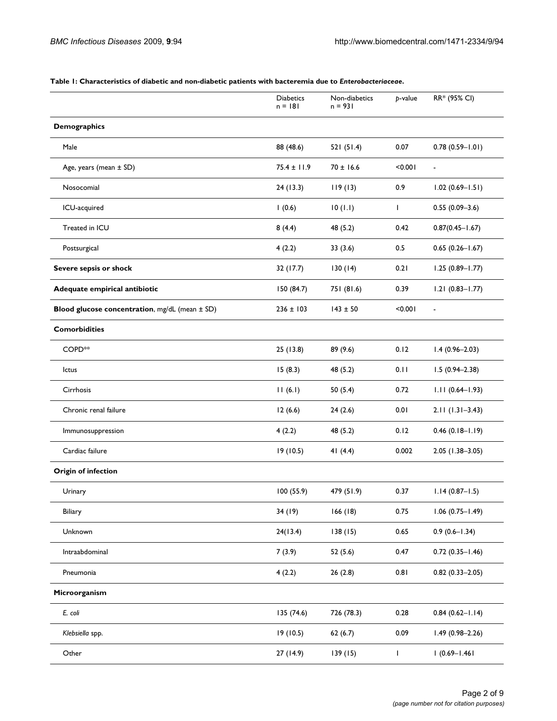|                                                | <b>Diabetics</b><br>$n = 181$ | Non-diabetics<br>$n = 931$ | p-value      | RR* (95% CI)        |
|------------------------------------------------|-------------------------------|----------------------------|--------------|---------------------|
| <b>Demographics</b>                            |                               |                            |              |                     |
|                                                |                               |                            |              |                     |
| Male                                           | 88 (48.6)                     | 521 (51.4)                 | 0.07         | $0.78(0.59 - 1.01)$ |
| Age, years (mean ± SD)                         | $75.4 \pm 11.9$               | $70 \pm 16.6$              | < 0.001      | $\blacksquare$      |
| Nosocomial                                     | 24 (13.3)                     | 119(13)                    | 0.9          | $1.02(0.69 - 1.51)$ |
| ICU-acquired                                   | 1(0.6)                        | 10(1.1)                    | $\mathbf{I}$ | $0.55(0.09 - 3.6)$  |
| Treated in ICU                                 | 8(4.4)                        | 48 (5.2)                   | 0.42         | $0.87(0.45 - 1.67)$ |
| Postsurgical                                   | 4(2.2)                        | 33(3.6)                    | 0.5          | $0.65(0.26 - 1.67)$ |
| Severe sepsis or shock                         | 32 (17.7)                     | 130(14)                    | 0.21         | $1.25(0.89 - 1.77)$ |
| Adequate empirical antibiotic                  | 150 (84.7)                    | 751 (81.6)                 | 0.39         | $1.21(0.83 - 1.77)$ |
| Blood glucose concentration, mg/dL (mean ± SD) | $236 \pm 103$                 | $143 \pm 50$               | < 0.001      | $\blacksquare$      |
| <b>Comorbidities</b>                           |                               |                            |              |                     |
| COPD <sup>**</sup>                             | 25 (13.8)                     | 89 (9.6)                   | 0.12         | $1.4(0.96 - 2.03)$  |
| lctus                                          | 15(8.3)                       | 48 (5.2)                   | 0.11         | $1.5(0.94 - 2.38)$  |
| Cirrhosis                                      | 11(6.1)                       | 50(5.4)                    | 0.72         | $1.11(0.64 - 1.93)$ |
| Chronic renal failure                          | 12(6.6)                       | 24(2.6)                    | 0.01         | $2.11(1.31-3.43)$   |
| Immunosuppression                              | 4(2.2)                        | 48 (5.2)                   | 0.12         | $0.46(0.18 - 1.19)$ |
| Cardiac failure                                | 19(10.5)                      | 41 $(4.4)$                 | 0.002        | $2.05(1.38-3.05)$   |
| <b>Origin of infection</b>                     |                               |                            |              |                     |
| Urinary                                        | 100 (55.9)                    | 479 (51.9)                 | 0.37         | $1.14(0.87 - 1.5)$  |
| Biliary                                        | 34(19)                        | 166(18)                    | 0.75         | $1.06(0.75 - 1.49)$ |
| Unknown                                        | 24(13.4)                      | 138(15)                    | 0.65         | $0.9(0.6 - 1.34)$   |
| Intraabdominal                                 | 7(3.9)                        | 52(5.6)                    | 0.47         | $0.72(0.35 - 1.46)$ |
| Pneumonia                                      | 4(2.2)                        | 26(2.8)                    | 0.81         | $0.82(0.33 - 2.05)$ |
| Microorganism                                  |                               |                            |              |                     |
| E. coli                                        | 135 (74.6)                    | 726 (78.3)                 | 0.28         | $0.84(0.62 - 1.14)$ |
| Klebsiella spp.                                | 19(10.5)                      | 62(6.7)                    | 0.09         | $1.49(0.98 - 2.26)$ |
| Other                                          | 27 (14.9)                     | 139(15)                    | $\mathbf{I}$ | $1(0.69 - 1.461)$   |

#### **Table 1: Characteristics of diabetic and non-diabetic patients with bacteremia due to** *Enterobacteriaceae***.**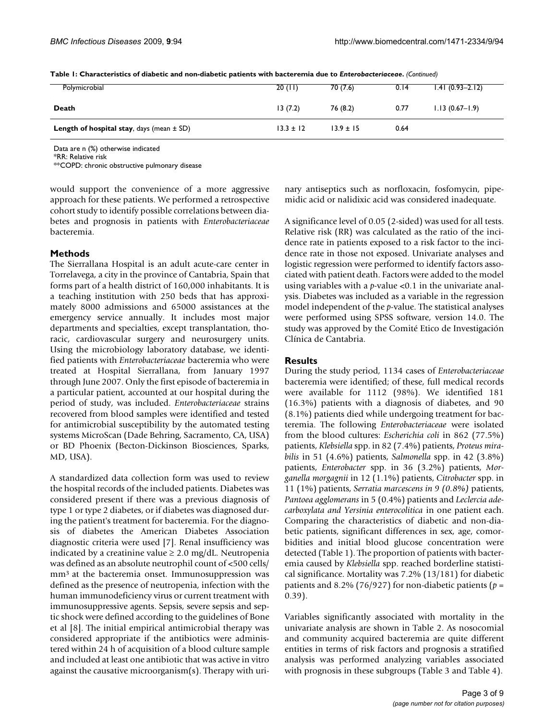| Polymicrobial                                         | 20(11)        | 70 (7.6)      | 0.14 | $1.41(0.93 - 2.12)$ |
|-------------------------------------------------------|---------------|---------------|------|---------------------|
| Death                                                 | 13(7.2)       | 76 (8.2)      | 0.77 | $1.13(0.67 - 1.9)$  |
| <b>Length of hospital stay</b> , days (mean $\pm$ SD) | $13.3 \pm 12$ | $13.9 \pm 15$ | 0.64 |                     |

**Table 1: Characteristics of diabetic and non-diabetic patients with bacteremia due to** *Enterobacteriaceae***.** *(Continued)*

Data are n (%) otherwise indicated

\*RR: Relative risk

\*\*COPD: chronic obstructive pulmonary disease

would support the convenience of a more aggressive approach for these patients. We performed a retrospective cohort study to identify possible correlations between diabetes and prognosis in patients with *Enterobacteriaceae* bacteremia.

## **Methods**

The Sierrallana Hospital is an adult acute-care center in Torrelavega, a city in the province of Cantabria, Spain that forms part of a health district of 160,000 inhabitants. It is a teaching institution with 250 beds that has approximately 8000 admissions and 65000 assistances at the emergency service annually. It includes most major departments and specialties, except transplantation, thoracic, cardiovascular surgery and neurosurgery units. Using the microbiology laboratory database, we identified patients with *Enterobacteriaceae* bacteremia who were treated at Hospital Sierrallana, from January 1997 through June 2007. Only the first episode of bacteremia in a particular patient, accounted at our hospital during the period of study, was included. *Enterobacteriaceae* strains recovered from blood samples were identified and tested for antimicrobial susceptibility by the automated testing systems MicroScan (Dade Behring, Sacramento, CA, USA) or BD Phoenix (Becton-Dickinson Biosciences, Sparks, MD, USA).

A standardized data collection form was used to review the hospital records of the included patients. Diabetes was considered present if there was a previous diagnosis of type 1 or type 2 diabetes, or if diabetes was diagnosed during the patient's treatment for bacteremia. For the diagnosis of diabetes the American Diabetes Association diagnostic criteria were used [[7\]](#page-8-0). Renal insufficiency was indicated by a creatinine value  $\geq 2.0$  mg/dL. Neutropenia was defined as an absolute neutrophil count of <500 cells/ mm<sup>3</sup> at the bacteremia onset. Immunosuppression was defined as the presence of neutropenia, infection with the human immunodeficiency virus or current treatment with immunosuppressive agents. Sepsis, severe sepsis and septic shock were defined according to the guidelines of Bone et al [8]. The initial empirical antimicrobial therapy was considered appropriate if the antibiotics were administered within 24 h of acquisition of a blood culture sample and included at least one antibiotic that was active in vitro against the causative microorganism(s). Therapy with urinary antiseptics such as norfloxacin, fosfomycin, pipemidic acid or nalidixic acid was considered inadequate.

A significance level of 0.05 (2-sided) was used for all tests. Relative risk (RR) was calculated as the ratio of the incidence rate in patients exposed to a risk factor to the incidence rate in those not exposed. Univariate analyses and logistic regression were performed to identify factors associated with patient death. Factors were added to the model using variables with a *p-*value <0.1 in the univariate analysis. Diabetes was included as a variable in the regression model independent of the *p*-value. The statistical analyses were performed using SPSS software, version 14.0. The study was approved by the Comité Etico de Investigación Clínica de Cantabria.

## **Results**

During the study period, 1134 cases of *Enterobacteriaceae* bacteremia were identified; of these, full medical records were available for 1112 (98%). We identified 181 (16.3%) patients with a diagnosis of diabetes, and 90 (8.1%) patients died while undergoing treatment for bacteremia. The following *Enterobacteriaceae* were isolated from the blood cultures: *Escherichia coli* in 862 (77.5%) patients, *Klebsiella* spp. in 82 (7.4%) patients, *Proteus mirabilis* in 51 (4.6%) patients, *Salmonella* spp. in 42 (3.8%) patients, *Enterobacter* spp. in 36 (3.2%) patients, *Morganella morgagnii* in 12 (1.1%) patients, *Citrobacter* spp. in 11 (1%) patients, *Serratia marcescens in 9 (0.8%)* patients, *Pantoea agglomerans* in 5 (0.4%) patients and *Leclercia adecarboxylata and Yersinia enterocolitica* in one patient each. Comparing the characteristics of diabetic and non-diabetic patients, significant differences in sex, age, comorbidities and initial blood glucose concentration were detected (Table 1). The proportion of patients with bacteremia caused by *Klebsiella* spp. reached borderline statistical significance. Mortality was 7.2% (13/181) for diabetic patients and 8.2% (76/927) for non-diabetic patients (*p* = 0.39).

Variables significantly associated with mortality in the univariate analysis are shown in Table 2. As nosocomial and community acquired bacteremia are quite different entities in terms of risk factors and prognosis a stratified analysis was performed analyzing variables associated with prognosis in these subgroups (Table 3 and Table 4).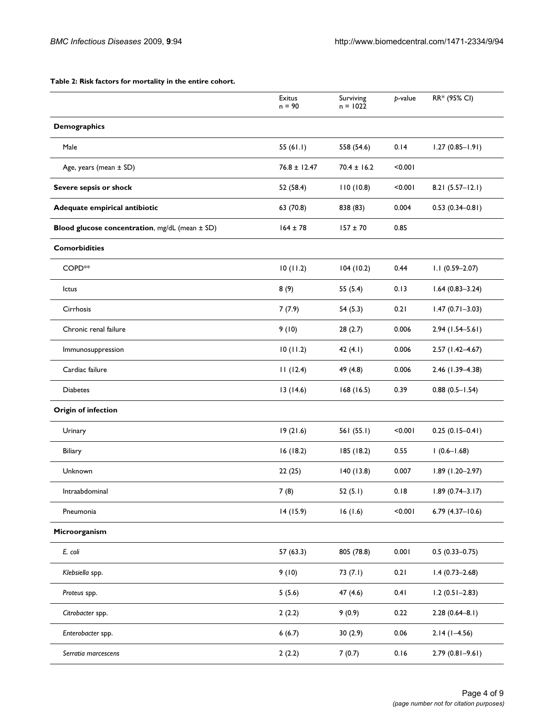**Table 2: Risk factors for mortality in the entire cohort.**

|                                                | Exitus<br>$n = 90$ | Surviving<br>$n = 1022$ | p-value | RR* (95% CI)        |
|------------------------------------------------|--------------------|-------------------------|---------|---------------------|
| <b>Demographics</b>                            |                    |                         |         |                     |
| Male                                           | 55 $(61.1)$        | 558 (54.6)              | 0.14    | $1.27(0.85 - 1.91)$ |
| Age, years (mean ± SD)                         | $76.8 \pm 12.47$   | $70.4 \pm 16.2$         | < 0.001 |                     |
| Severe sepsis or shock                         | 52 (58.4)          | 110(10.8)               | < 0.001 | $8.21(5.57-12.1)$   |
| Adequate empirical antibiotic                  | 63 (70.8)          | 838 (83)                | 0.004   | $0.53(0.34 - 0.81)$ |
| Blood glucose concentration, mg/dL (mean ± SD) | $164 \pm 78$       | $157 \pm 70$            | 0.85    |                     |
| <b>Comorbidities</b>                           |                    |                         |         |                     |
| COPD <sup>**</sup>                             | 10(11.2)           | 104(10.2)               | 0.44    | $1.1(0.59 - 2.07)$  |
| lctus                                          | 8(9)               | 55 (5.4)                | 0.13    | $1.64(0.83 - 3.24)$ |
| Cirrhosis                                      | 7(7.9)             | 54(5.3)                 | 0.21    | $1.47(0.71 - 3.03)$ |
| Chronic renal failure                          | 9(10)              | 28(2.7)                 | 0.006   | $2.94(1.54 - 5.61)$ |
| Immunosuppression                              | 10(11.2)           | 42 $(4.1)$              | 0.006   | $2.57(1.42 - 4.67)$ |
| Cardiac failure                                | 11(12.4)           | 49 (4.8)                | 0.006   | 2.46 (1.39-4.38)    |
| <b>Diabetes</b>                                | 13(14.6)           | 168(16.5)               | 0.39    | $0.88(0.5 - 1.54)$  |
| <b>Origin of infection</b>                     |                    |                         |         |                     |
| Urinary                                        | 19(21.6)           | 561(55.1)               | < 0.001 | $0.25(0.15-0.41)$   |
| Biliary                                        | 16(18.2)           | 185 (18.2)              | 0.55    | $1(0.6 - 1.68)$     |
| Unknown                                        | 22(25)             | 140(13.8)               | 0.007   | $1.89(1.20 - 2.97)$ |
| Intraabdominal                                 | 7(8)               | 52(5.1)                 | 0.18    | $1.89(0.74 - 3.17)$ |
| Pneumonia                                      | 14(15.9)           | 16(1.6)                 | < 0.001 | $6.79(4.37 - 10.6)$ |
| Microorganism                                  |                    |                         |         |                     |
| E. coli                                        | 57(63.3)           | 805 (78.8)              | 0.001   | $0.5(0.33 - 0.75)$  |
| Klebsiella spp.                                | 9(10)              | 73(7.1)                 | 0.21    | $1.4(0.73 - 2.68)$  |
| Proteus spp.                                   | 5(5.6)             | 47(4.6)                 | 0.41    | $1.2(0.51 - 2.83)$  |
| Citrobacter spp.                               | 2(2.2)             | 9(0.9)                  | 0.22    | $2.28(0.64 - 8.1)$  |
| Enterobacter spp.                              | 6(6.7)             | 30(2.9)                 | 0.06    | $2.14(1 - 4.56)$    |
| Serratia marcescens                            | 2(2.2)             | 7(0.7)                  | 0.16    | $2.79(0.81 - 9.61)$ |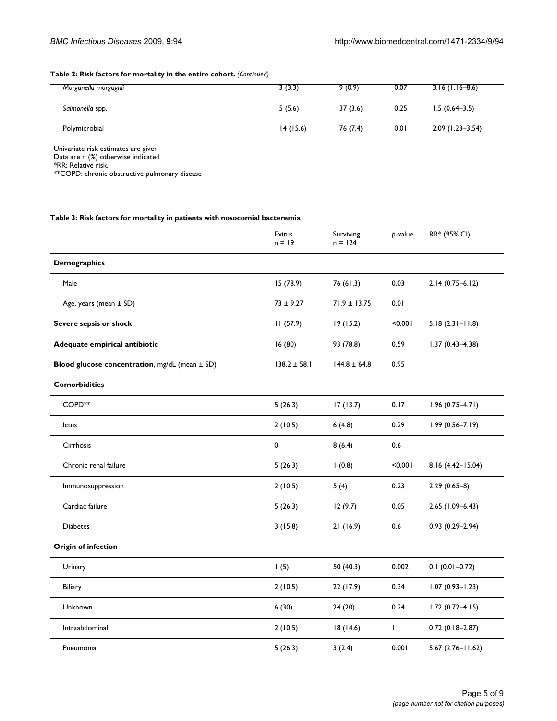## **Table 2: Risk factors for mortality in the entire cohort.** *(Continued)*

| Morganella morgagnii | 3(3.3)   | 9(0.9)   | 0.07 | $3.16(1.16-8.6)$    |
|----------------------|----------|----------|------|---------------------|
| Salmonella spp.      | 5(5.6)   | 37(3.6)  | 0.25 | $1.5(0.64-3.5)$     |
| Polymicrobial        | 14(15.6) | 76 (7.4) | 0.01 | $2.09(1.23 - 3.54)$ |

Univariate risk estimates are given Data are n (%) otherwise indicated

\*RR: Relative risk.

\*\*COPD: chronic obstructive pulmonary disease

#### **Table 3: Risk factors for mortality in patients with nosocomial bacteremia**

|                                                | Exitus<br>$n = 19$ | Surviving<br>$n = 124$ | p-value      | RR* (95% CI)        |
|------------------------------------------------|--------------------|------------------------|--------------|---------------------|
| <b>Demographics</b>                            |                    |                        |              |                     |
| Male                                           | 15 (78.9)          | 76 (61.3)              | 0.03         | $2.14(0.75 - 6.12)$ |
| Age, years (mean ± SD)                         | $73 \pm 9.27$      | $71.9 \pm 13.75$       | 0.01         |                     |
| Severe sepsis or shock                         | 11(57.9)           | 19(15.2)               | < 0.001      | $5.18(2.31 - 11.8)$ |
| Adequate empirical antibiotic                  | 16(80)             | 93 (78.8)              | 0.59         | $1.37(0.43 - 4.38)$ |
| Blood glucose concentration, mg/dL (mean ± SD) | $138.2 \pm 58.1$   | $144.8 \pm 64.8$       | 0.95         |                     |
| <b>Comorbidities</b>                           |                    |                        |              |                     |
| COPD <sup>*</sup>                              | 5(26.3)            | 17(13.7)               | 0.17         | $1.96(0.75 - 4.71)$ |
| Ictus                                          | 2(10.5)            | 6(4.8)                 | 0.29         | $1.99(0.56 - 7.19)$ |
| Cirrhosis                                      | 0                  | 8(6.4)                 | 0.6          |                     |
| Chronic renal failure                          | 5(26.3)            | 1(0.8)                 | < 0.001      | 8.16 (4.42-15.04)   |
| Immunosuppression                              | 2(10.5)            | 5(4)                   | 0.23         | $2.29(0.65-8)$      |
| Cardiac failure                                | 5(26.3)            | 12(9.7)                | 0.05         | $2.65$ (1.09-6.43)  |
| <b>Diabetes</b>                                | 3(15.8)            | 21(16.9)               | 0.6          | $0.93(0.29 - 2.94)$ |
| <b>Origin of infection</b>                     |                    |                        |              |                     |
| Urinary                                        | 1(5)               | 50 (40.3)              | 0.002        | $0.1(0.01 - 0.72)$  |
| Biliary                                        | 2(10.5)            | 22 (17.9)              | 0.34         | $1.07(0.93 - 1.23)$ |
| Unknown                                        | 6(30)              | 24(20)                 | 0.24         | $1.72(0.72 - 4.15)$ |
| Intraabdominal                                 | 2(10.5)            | 18(14.6)               | $\mathbf{I}$ | $0.72(0.18-2.87)$   |
| Pneumonia                                      | 5(26.3)            | 3(2.4)                 | 0.001        | $5.67$ (2.76-11.62) |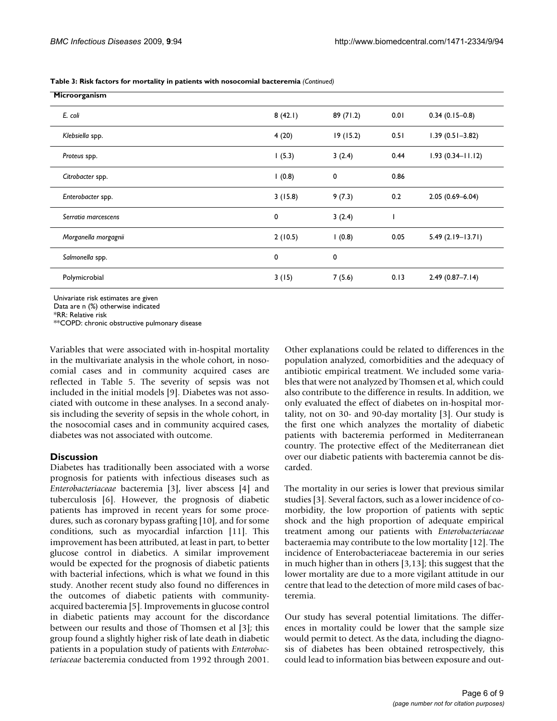**Table 3: Risk factors for mortality in patients with nosocomial bacteremia** *(Continued)*

| Microorganism        |         |           |      |                      |
|----------------------|---------|-----------|------|----------------------|
| E. coli              | 8(42.1) | 89 (71.2) | 0.01 | $0.34(0.15-0.8)$     |
| Klebsiella spp.      | 4(20)   | 19(15.2)  | 0.51 | $1.39(0.51 - 3.82)$  |
| Proteus spp.         | 1(5.3)  | 3(2.4)    | 0.44 | $1.93(0.34 - 11.12)$ |
| Citrobacter spp.     | 1(0.8)  | 0         | 0.86 |                      |
| Enterobacter spp.    | 3(15.8) | 9(7.3)    | 0.2  | $2.05(0.69 - 6.04)$  |
| Serratia marcescens  | 0       | 3(2.4)    |      |                      |
| Morganella morgagnii | 2(10.5) | 1(0.8)    | 0.05 | $5.49(2.19 - 13.71)$ |
| Salmonella spp.      | 0       | 0         |      |                      |
| Polymicrobial        | 3(15)   | 7(5.6)    | 0.13 | $2.49(0.87 - 7.14)$  |

Univariate risk estimates are given

Data are n (%) otherwise indicated

\*RR: Relative risk

\*\*COPD: chronic obstructive pulmonary disease

Variables that were associated with in-hospital mortality in the multivariate analysis in the whole cohort, in nosocomial cases and in community acquired cases are reflected in Table 5. The severity of sepsis was not included in the initial models [9]. Diabetes was not associated with outcome in these analyses. In a second analysis including the severity of sepsis in the whole cohort, in the nosocomial cases and in community acquired cases, diabetes was not associated with outcome.

## **Discussion**

Diabetes has traditionally been associated with a worse prognosis for patients with infectious diseases such as *Enterobacteriaceae* bacteremia [3], liver abscess [4] and tuberculosis [6]. However, the prognosis of diabetic patients has improved in recent years for some procedures, such as coronary bypass grafting [10], and for some conditions, such as myocardial infarction [11]. This improvement has been attributed, at least in part, to better glucose control in diabetics. A similar improvement would be expected for the prognosis of diabetic patients with bacterial infections, which is what we found in this study. Another recent study also found no differences in the outcomes of diabetic patients with communityacquired bacteremia [5]. Improvements in glucose control in diabetic patients may account for the discordance between our results and those of Thomsen et al [3]; this group found a slightly higher risk of late death in diabetic patients in a population study of patients with *Enterobacteriaceae* bacteremia conducted from 1992 through 2001. Other explanations could be related to differences in the population analyzed, comorbidities and the adequacy of antibiotic empirical treatment. We included some variables that were not analyzed by Thomsen et al, which could also contribute to the difference in results. In addition, we only evaluated the effect of diabetes on in-hospital mortality, not on 30- and 90-day mortality [3]. Our study is the first one which analyzes the mortality of diabetic patients with bacteremia performed in Mediterranean country. The protective effect of the Mediterranean diet over our diabetic patients with bacteremia cannot be discarded.

The mortality in our series is lower that previous similar studies [3]. Several factors, such as a lower incidence of comorbidity, the low proportion of patients with septic shock and the high proportion of adequate empirical treatment among our patients with *Enterobacteriaceae* bacteraemia may contribute to the low mortality [12]. The incidence of Enterobacteriaceae bacteremia in our series in much higher than in others [3,13]; this suggest that the lower mortality are due to a more vigilant attitude in our centre that lead to the detection of more mild cases of bacteremia.

Our study has several potential limitations. The differences in mortality could be lower that the sample size would permit to detect. As the data, including the diagnosis of diabetes has been obtained retrospectively, this could lead to information bias between exposure and out-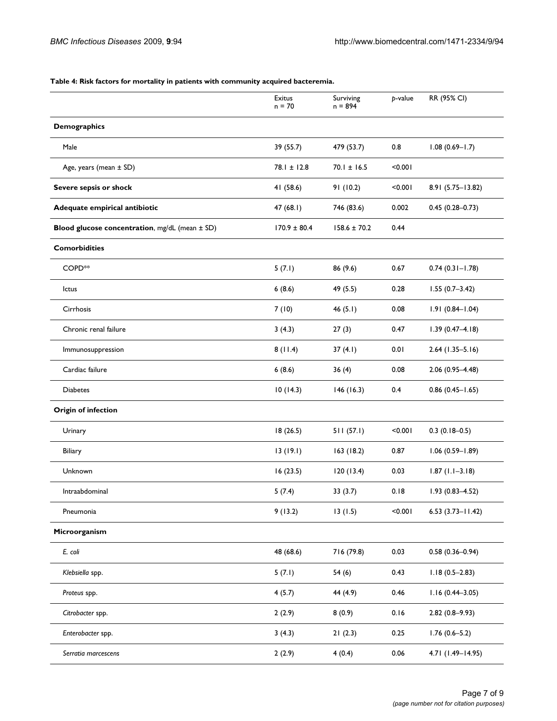## **Table 4: Risk factors for mortality in patients with community acquired bacteremia.**

|                                                | Exitus<br>$n = 70$ | Surviving<br>$n = 894$ | p-value | RR (95% CI)             |
|------------------------------------------------|--------------------|------------------------|---------|-------------------------|
| <b>Demographics</b>                            |                    |                        |         |                         |
| Male                                           | 39 (55.7)          | 479 (53.7)             | 0.8     | $1.08(0.69 - 1.7)$      |
| Age, years (mean ± SD)                         | $78.1 \pm 12.8$    | $70.1 \pm 16.5$        | < 0.001 |                         |
| Severe sepsis or shock                         | 41 (58.6)          | 91 (10.2)              | < 0.001 | 8.91 (5.75-13.82)       |
| Adequate empirical antibiotic                  | 47(68.1)           | 746 (83.6)             | 0.002   | $0.45(0.28 - 0.73)$     |
| Blood glucose concentration, mg/dL (mean ± SD) | $170.9 \pm 80.4$   | $158.6 \pm 70.2$       | 0.44    |                         |
| <b>Comorbidities</b>                           |                    |                        |         |                         |
| COPD <sup>*</sup>                              | 5(7.1)             | 86 (9.6)               | 0.67    | $0.74(0.31 - 1.78)$     |
| Ictus                                          | 6(8.6)             | 49 (5.5)               | 0.28    | $1.55(0.7 - 3.42)$      |
| Cirrhosis                                      | 7(10)              | 46(5.1)                | 0.08    | $1.91(0.84 - 1.04)$     |
| Chronic renal failure                          | 3(4.3)             | 27(3)                  | 0.47    | $1.39(0.47 - 4.18)$     |
| Immunosuppression                              | 8(11.4)            | 37(4.1)                | 0.01    | $2.64$ (1.35-5.16)      |
| Cardiac failure                                | 6(8.6)             | 36(4)                  | 0.08    | $2.06(0.95 - 4.48)$     |
| <b>Diabetes</b>                                | 10(14.3)           | 146(16.3)              | 0.4     | $0.86$ (0.45-1.65)      |
| <b>Origin of infection</b>                     |                    |                        |         |                         |
| Urinary                                        | 18(26.5)           | 511(57.1)              | < 0.001 | $0.3(0.18-0.5)$         |
| Biliary                                        | 13(19.1)           | 163(18.2)              | 0.87    | $1.06(0.59 - 1.89)$     |
| Unknown                                        | 16(23.5)           | 120(13.4)              | 0.03    | $1.87(1.1-3.18)$        |
| Intraabdominal                                 | 5(7.4)             | 33(3.7)                | 0.18    | $1.93(0.83 - 4.52)$     |
| Pneumonia                                      | 9(13.2)            | 13(1.5)                | 100.00  | $6.53$ $(3.73 - 11.42)$ |
| Microorganism                                  |                    |                        |         |                         |
| E. coli                                        | 48 (68.6)          | 716 (79.8)             | 0.03    | $0.58(0.36 - 0.94)$     |
| Klebsiella spp.                                | 5(7.1)             | 54(6)                  | 0.43    | $1.18(0.5 - 2.83)$      |
| Proteus spp.                                   | 4(5.7)             | 44 (4.9)               | 0.46    | $1.16(0.44 - 3.05)$     |
| Citrobacter spp.                               | 2(2.9)             | 8(0.9)                 | 0.16    | $2.82(0.8-9.93)$        |
| Enterobacter spp.                              | 3(4.3)             | 21(2.3)                | 0.25    | $1.76(0.6 - 5.2)$       |
| Serratia marcescens                            | 2(2.9)             | 4(0.4)                 | 0.06    | 4.71 (1.49-14.95)       |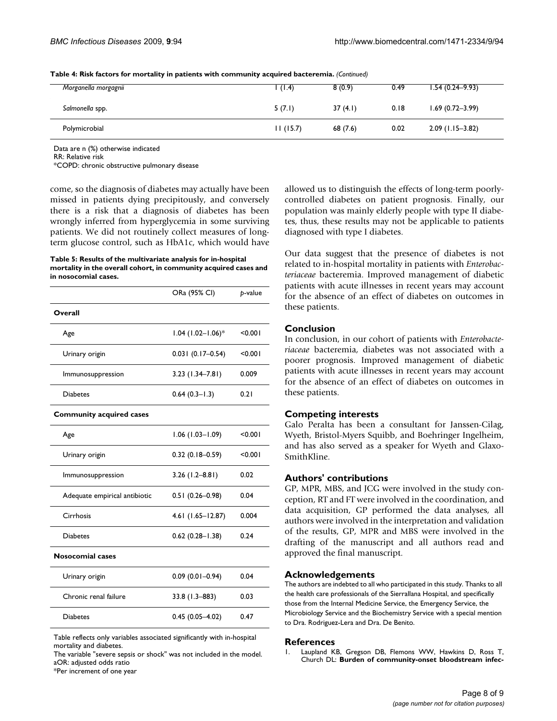| Morganella morgagnii | (1.4)    | 8(0.9)  | 0.49 | $1.54(0.24 - 9.93)$ |
|----------------------|----------|---------|------|---------------------|
| Salmonella spp.      | 5(7.1)   | 37(4.1) | 0.18 | $1.69(0.72 - 3.99)$ |
| Polymicrobial        | 11(15.7) | 68(7.6) | 0.02 | $2.09$ (1.15-3.82)  |

**Table 4: Risk factors for mortality in patients with community acquired bacteremia.** *(Continued)*

Data are n (%) otherwise indicated

RR: Relative risk

\*COPD: chronic obstructive pulmonary disease

come, so the diagnosis of diabetes may actually have been missed in patients dying precipitously, and conversely there is a risk that a diagnosis of diabetes has been wrongly inferred from hyperglycemia in some surviving patients. We did not routinely collect measures of longterm glucose control, such as HbA1c, which would have

#### **Table 5: Results of the multivariate analysis for in-hospital mortality in the overall cohort, in community acquired cases and in nosocomial cases.**

|                                 | ORa (95% CI)                    | p-value |
|---------------------------------|---------------------------------|---------|
| Overall                         |                                 |         |
| Age                             | $1.04$ (1.02-1.06) <sup>*</sup> | <0.00∣  |
| Urinary origin                  | $0.031(0.17-0.54)$              | < 0.001 |
| Immunosuppression               | $3.23(1.34 - 7.81)$             | 0.009   |
| Diabetes                        | $0.64(0.3 - 1.3)$               | 0.21    |
| <b>Community acquired cases</b> |                                 |         |
| Age                             | $1.06(1.03 - 1.09)$             | <0.00∣  |
| Urinary origin                  | $0.32(0.18-0.59)$               | < 0.001 |
| Immunosuppression               | $3.26(1.2 - 8.81)$              | 0.02    |
| Adequate empirical antibiotic   | $0.51(0.26 - 0.98)$             | 0.04    |
| Cirrhosis                       | $4.61$ (1.65-12.87)             | 0.004   |
| <b>Diabetes</b>                 | $0.62$ (0.28-1.38)              | 0.24    |
| <b>Nosocomial cases</b>         |                                 |         |
| Urinary origin                  | $0.09(0.01 - 0.94)$             | 0.04    |
| Chronic renal failure           | 33.8 (1.3–883)                  | 0.03    |
| <b>Diabetes</b>                 | $0.45(0.05 - 4.02)$             | 0.47    |

Table reflects only variables associated significantly with in-hospital mortality and diabetes.

The variable "severe sepsis or shock" was not included in the model. aOR: adjusted odds ratio

\*Per increment of one year

allowed us to distinguish the effects of long-term poorlycontrolled diabetes on patient prognosis. Finally, our population was mainly elderly people with type II diabetes, thus, these results may not be applicable to patients diagnosed with type I diabetes.

Our data suggest that the presence of diabetes is not related to in-hospital mortality in patients with *Enterobacteriaceae* bacteremia. Improved management of diabetic patients with acute illnesses in recent years may account for the absence of an effect of diabetes on outcomes in these patients.

## **Conclusion**

In conclusion, in our cohort of patients with *Enterobacteriaceae* bacteremia, diabetes was not associated with a poorer prognosis. Improved management of diabetic patients with acute illnesses in recent years may account for the absence of an effect of diabetes on outcomes in these patients.

## **Competing interests**

Galo Peralta has been a consultant for Janssen-Cilag, Wyeth, Bristol-Myers Squibb, and Boehringer Ingelheim, and has also served as a speaker for Wyeth and Glaxo-SmithKline.

## **Authors' contributions**

GP, MPR, MBS, and JCG were involved in the study conception, RT and FT were involved in the coordination, and data acquisition, GP performed the data analyses, all authors were involved in the interpretation and validation of the results, GP, MPR and MBS were involved in the drafting of the manuscript and all authors read and approved the final manuscript.

## **Acknowledgements**

The authors are indebted to all who participated in this study. Thanks to all the health care professionals of the Sierrallana Hospital, and specifically those from the Internal Medicine Service, the Emergency Service, the Microbiology Service and the Biochemistry Service with a special mention to Dra. Rodriguez-Lera and Dra. De Benito.

## **References**

1. Laupland KB, Gregson DB, Flemons WW, Hawkins D, Ross T, Church DL: **[Burden of community-onset bloodstream infec](http://www.ncbi.nlm.nih.gov/entrez/query.fcgi?cmd=Retrieve&db=PubMed&dopt=Abstract&list_uids=17156500)-**